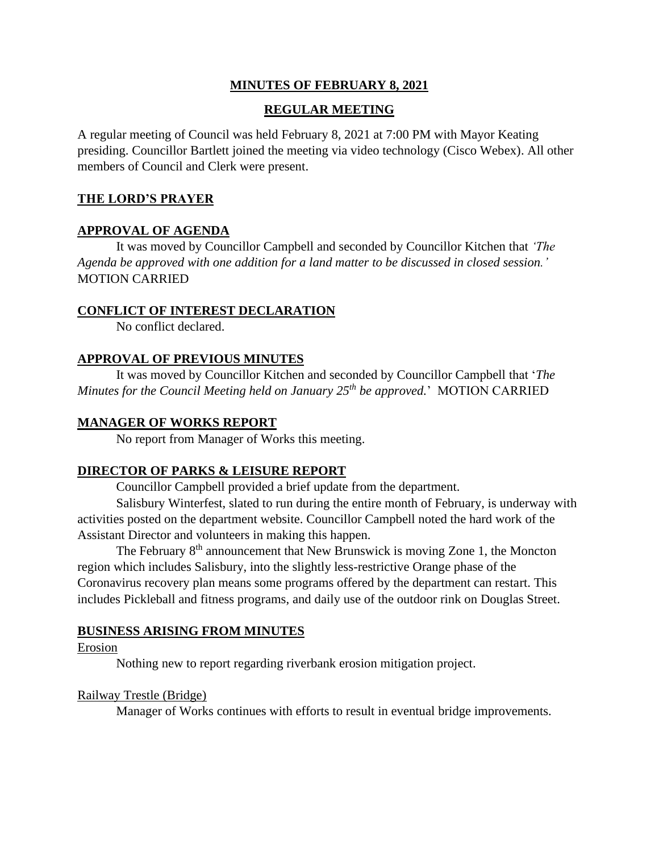## **MINUTES OF FEBRUARY 8, 2021**

## **REGULAR MEETING**

A regular meeting of Council was held February 8, 2021 at 7:00 PM with Mayor Keating presiding. Councillor Bartlett joined the meeting via video technology (Cisco Webex). All other members of Council and Clerk were present.

## **THE LORD'S PRAYER**

## **APPROVAL OF AGENDA**

It was moved by Councillor Campbell and seconded by Councillor Kitchen that *'The Agenda be approved with one addition for a land matter to be discussed in closed session.'* MOTION CARRIED

### **CONFLICT OF INTEREST DECLARATION**

No conflict declared.

## **APPROVAL OF PREVIOUS MINUTES**

It was moved by Councillor Kitchen and seconded by Councillor Campbell that '*The Minutes for the Council Meeting held on January 25th be approved.*' MOTION CARRIED

## **MANAGER OF WORKS REPORT**

No report from Manager of Works this meeting.

### **DIRECTOR OF PARKS & LEISURE REPORT**

Councillor Campbell provided a brief update from the department.

Salisbury Winterfest, slated to run during the entire month of February, is underway with activities posted on the department website. Councillor Campbell noted the hard work of the Assistant Director and volunteers in making this happen.

The February 8<sup>th</sup> announcement that New Brunswick is moving Zone 1, the Moncton region which includes Salisbury, into the slightly less-restrictive Orange phase of the Coronavirus recovery plan means some programs offered by the department can restart. This includes Pickleball and fitness programs, and daily use of the outdoor rink on Douglas Street.

### **BUSINESS ARISING FROM MINUTES**

Erosion

Nothing new to report regarding riverbank erosion mitigation project.

### Railway Trestle (Bridge)

Manager of Works continues with efforts to result in eventual bridge improvements.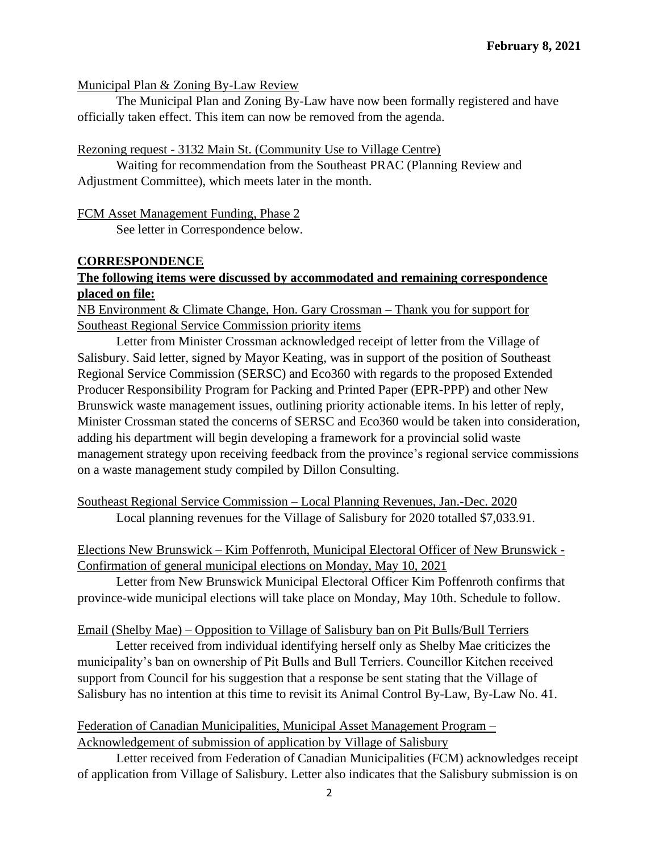### Municipal Plan & Zoning By-Law Review

The Municipal Plan and Zoning By-Law have now been formally registered and have officially taken effect. This item can now be removed from the agenda.

### Rezoning request - 3132 Main St. (Community Use to Village Centre)

Waiting for recommendation from the Southeast PRAC (Planning Review and Adjustment Committee), which meets later in the month.

### FCM Asset Management Funding, Phase 2

See letter in Correspondence below.

### **CORRESPONDENCE**

## **The following items were discussed by accommodated and remaining correspondence placed on file:**

NB Environment & Climate Change, Hon. Gary Crossman – Thank you for support for Southeast Regional Service Commission priority items

Letter from Minister Crossman acknowledged receipt of letter from the Village of Salisbury. Said letter, signed by Mayor Keating, was in support of the position of Southeast Regional Service Commission (SERSC) and Eco360 with regards to the proposed Extended Producer Responsibility Program for Packing and Printed Paper (EPR-PPP) and other New Brunswick waste management issues, outlining priority actionable items. In his letter of reply, Minister Crossman stated the concerns of SERSC and Eco360 would be taken into consideration, adding his department will begin developing a framework for a provincial solid waste management strategy upon receiving feedback from the province's regional service commissions on a waste management study compiled by Dillon Consulting.

Southeast Regional Service Commission – Local Planning Revenues, Jan.-Dec. 2020 Local planning revenues for the Village of Salisbury for 2020 totalled \$7,033.91.

Elections New Brunswick – Kim Poffenroth, Municipal Electoral Officer of New Brunswick - Confirmation of general municipal elections on Monday, May 10, 2021

Letter from New Brunswick Municipal Electoral Officer Kim Poffenroth confirms that province-wide municipal elections will take place on Monday, May 10th. Schedule to follow.

#### Email (Shelby Mae) – Opposition to Village of Salisbury ban on Pit Bulls/Bull Terriers

Letter received from individual identifying herself only as Shelby Mae criticizes the municipality's ban on ownership of Pit Bulls and Bull Terriers. Councillor Kitchen received support from Council for his suggestion that a response be sent stating that the Village of Salisbury has no intention at this time to revisit its Animal Control By-Law, By-Law No. 41.

Federation of Canadian Municipalities, Municipal Asset Management Program – Acknowledgement of submission of application by Village of Salisbury

Letter received from Federation of Canadian Municipalities (FCM) acknowledges receipt of application from Village of Salisbury. Letter also indicates that the Salisbury submission is on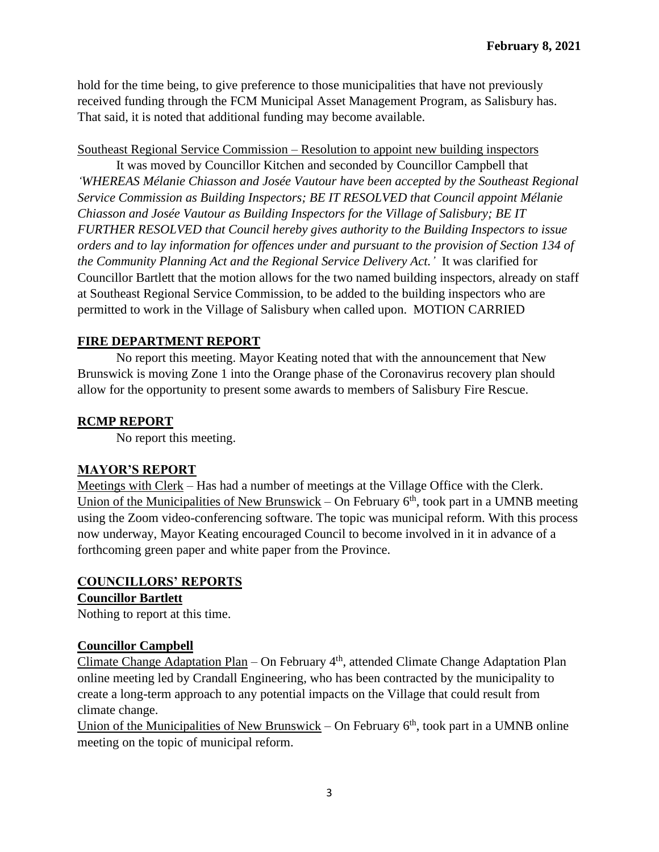hold for the time being, to give preference to those municipalities that have not previously received funding through the FCM Municipal Asset Management Program, as Salisbury has. That said, it is noted that additional funding may become available.

### Southeast Regional Service Commission – Resolution to appoint new building inspectors

It was moved by Councillor Kitchen and seconded by Councillor Campbell that *'WHEREAS Mélanie Chiasson and Josée Vautour have been accepted by the Southeast Regional Service Commission as Building Inspectors; BE IT RESOLVED that Council appoint Mélanie Chiasson and Josée Vautour as Building Inspectors for the Village of Salisbury; BE IT FURTHER RESOLVED that Council hereby gives authority to the Building Inspectors to issue orders and to lay information for offences under and pursuant to the provision of Section 134 of the Community Planning Act and the Regional Service Delivery Act.'* It was clarified for Councillor Bartlett that the motion allows for the two named building inspectors, already on staff at Southeast Regional Service Commission, to be added to the building inspectors who are permitted to work in the Village of Salisbury when called upon. MOTION CARRIED

### **FIRE DEPARTMENT REPORT**

No report this meeting. Mayor Keating noted that with the announcement that New Brunswick is moving Zone 1 into the Orange phase of the Coronavirus recovery plan should allow for the opportunity to present some awards to members of Salisbury Fire Rescue.

### **RCMP REPORT**

No report this meeting.

### **MAYOR'S REPORT**

Meetings with Clerk – Has had a number of meetings at the Village Office with the Clerk. Union of the Municipalities of New Brunswick – On February  $6<sup>th</sup>$ , took part in a UMNB meeting using the Zoom video-conferencing software. The topic was municipal reform. With this process now underway, Mayor Keating encouraged Council to become involved in it in advance of a forthcoming green paper and white paper from the Province.

### **COUNCILLORS' REPORTS**

**Councillor Bartlett** Nothing to report at this time.

### **Councillor Campbell**

Climate Change Adaptation Plan - On February 4<sup>th</sup>, attended Climate Change Adaptation Plan online meeting led by Crandall Engineering, who has been contracted by the municipality to create a long-term approach to any potential impacts on the Village that could result from climate change.

Union of the Municipalities of New Brunswick – On February  $6<sup>th</sup>$ , took part in a UMNB online meeting on the topic of municipal reform.